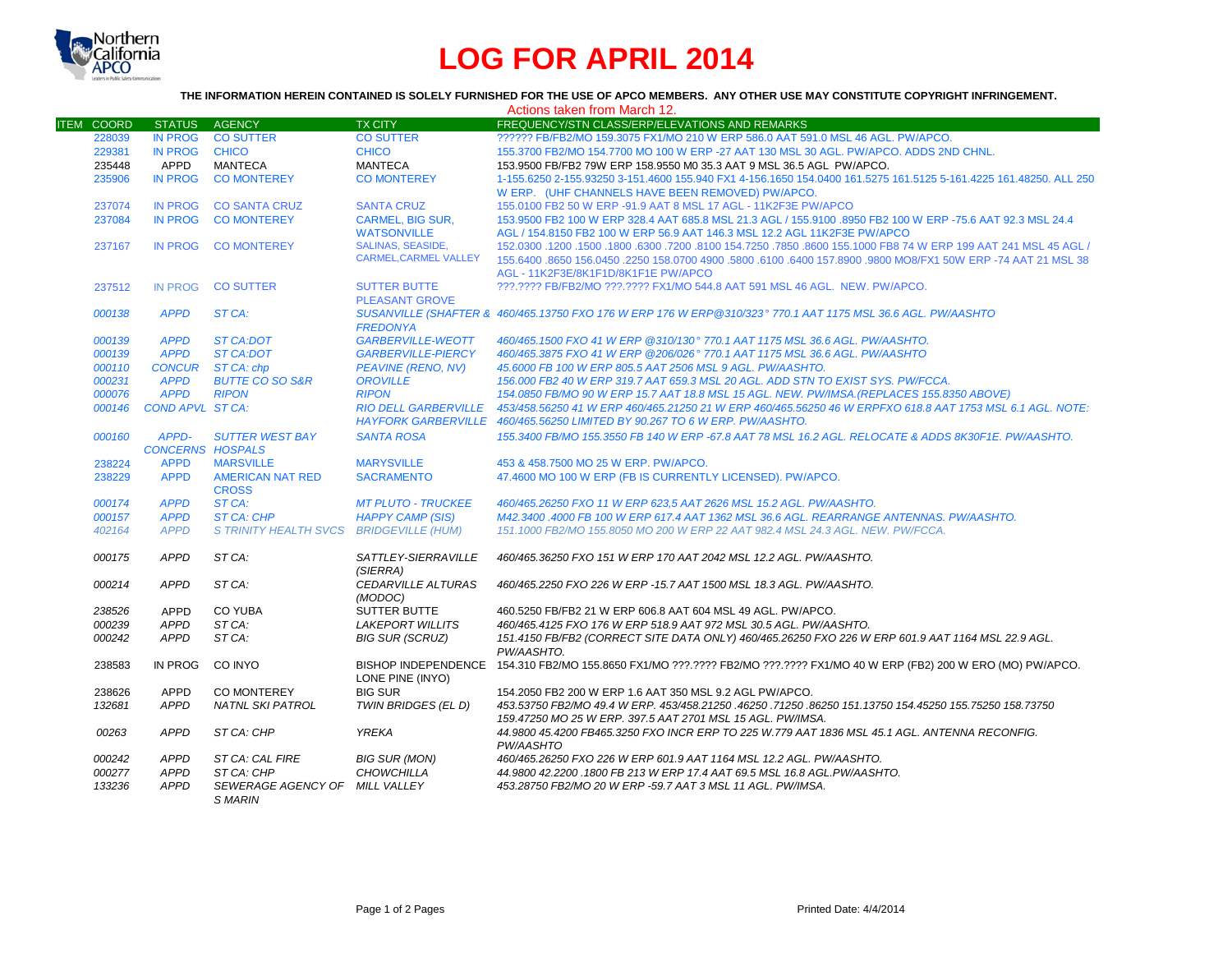

## **LOG FOR APRIL 2014**

## **THE INFORMATION HEREIN CONTAINED IS SOLELY FURNISHED FOR THE USE OF APCO MEMBERS. ANY OTHER USE MAY CONSTITUTE COPYRIGHT INFRINGEMENT.**

|                   |                         |                                         |                              | Actions taken from March 12.                                                                                              |
|-------------------|-------------------------|-----------------------------------------|------------------------------|---------------------------------------------------------------------------------------------------------------------------|
| <b>ITEM COORD</b> | STATUS AGENCY           |                                         | <b>TX CITY</b>               | <b>FREQUENCY/STN CLASS/ERP/ELEVATIONS AND REMARKS</b>                                                                     |
| 228039            |                         | IN PROG CO SUTTER                       | <b>CO SUTTER</b>             | ?????? FB/FB2/MO 159.3075 FX1/MO 210 W ERP 586.0 AAT 591.0 MSL 46 AGL. PW/APCO.                                           |
| 229381            | <b>IN PROG</b>          | <b>CHICO</b>                            | <b>CHICO</b>                 | 155.3700 FB2/MO 154.7700 MO 100 W ERP -27 AAT 130 MSL 30 AGL, PW/APCO, ADDS 2ND CHNL.                                     |
| 235448            | APPD                    | <b>MANTECA</b>                          | <b>MANTECA</b>               | 153,9500 FB/FB2 79W ERP 158,9550 M0 35.3 AAT 9 MSL 36.5 AGL PW/APCO.                                                      |
| 235906            | <b>IN PROG</b>          | <b>CO MONTEREY</b>                      | <b>CO MONTEREY</b>           | 1-155.6250 2-155.93250 3-151.4600 155.940 FX1 4-156.1650 154.0400 161.5275 161.5125 5-161.4225 161.48250, ALL 250         |
|                   |                         |                                         |                              | W ERP. (UHF CHANNELS HAVE BEEN REMOVED) PW/APCO.                                                                          |
| 237074            | <b>IN PROG</b>          | <b>CO SANTA CRUZ</b>                    | <b>SANTA CRUZ</b>            | 155,0100 FB2 50 W ERP -91.9 AAT 8 MSL 17 AGL - 11K2F3E PW/APCO                                                            |
| 237084            | <b>IN PROG</b>          | <b>CO MONTEREY</b>                      | <b>CARMEL, BIG SUR,</b>      | 153.9500 FB2 100 W ERP 328.4 AAT 685.8 MSL 21.3 AGL / 155.9100 .8950 FB2 100 W ERP -75.6 AAT 92.3 MSL 24.4                |
|                   |                         |                                         | <b>WATSONVILLE</b>           | AGL / 154.8150 FB2 100 W ERP 56.9 AAT 146.3 MSL 12.2 AGL 11K2F3E PW/APCO                                                  |
| 237167            |                         | IN PROG CO MONTEREY                     | <b>SALINAS, SEASIDE,</b>     | 150. 45 AGL (150.0300 .1200 .1500 .6300 .7200 .8100 154.7250 .7850 .8600 155.1000 FB8 74 W ERP 199 AAT 241 MSL            |
|                   |                         |                                         | <b>CARMEL, CARMEL VALLEY</b> | 155.6400 .8650 156.0450 .2250 158.0700 4900 .5800 .6100 .6400 157.8900 .9800 MO8/FX1 50W ERP -74 AAT 21 MSL 38            |
|                   |                         |                                         |                              | AGL - 11K2F3E/8K1F1D/8K1F1E PW/APCO                                                                                       |
| 237512            |                         | IN PROG CO SUTTER                       | <b>SUTTER BUTTE</b>          | ???.???? FB/FB2/MO ???.???? FX1/MO 544.8 AAT 591 MSL 46 AGL. NEW. PW/APCO.                                                |
|                   |                         |                                         | <b>PLEASANT GROVE</b>        |                                                                                                                           |
| 000138            | <b>APPD</b>             | ST CA:                                  |                              | SUSANVILLE (SHAFTER & 460/465.13750 FXO 176 W ERP 176 W ERP@310/323° 770.1 AAT 1175 MSL 36.6 AGL. PW/AASHTO               |
|                   |                         |                                         | <b>FREDONYA</b>              |                                                                                                                           |
| 000139            | <b>APPD</b>             | <b>ST CA:DOT</b>                        | GARBERVILLE-WEOTT            | 460/465.1500 FXO 41 W ERP @310/130° 770.1 AAT 1175 MSL 36.6 AGL. PW/AASHTO.                                               |
| 000139            | <b>APPD</b>             | <b>ST CA:DOT</b>                        | <b>GARBERVILLE-PIERCY</b>    | 460/465.3875 FXO 41 W ERP @206/026° 770.1 AAT 1175 MSL 36.6 AGL. PW/AASHTO                                                |
| 000110            | <b>CONCUR</b>           | ST CA: chp                              | PEAVINE (RENO, NV)           | 45,6000 FB 100 W ERP 805.5 AAT 2506 MSL 9 AGL. PW/AASHTO.                                                                 |
| 000231            | <b>APPD</b>             | <b>BUTTE CO SO S&amp;R</b>              | <b>OROVILLE</b>              | 156,000 FB2 40 W ERP 319.7 AAT 659.3 MSL 20 AGL. ADD STN TO EXIST SYS. PW/FCCA.                                           |
| 000076            | <b>APPD</b>             | <b>RIPON</b>                            | <b>RIPON</b>                 | 154.0850 FB/MO 90 W ERP 15.7 AAT 18.8 MSL 15 AGL. NEW. PW/IMSA.(REPLACES 155.8350 ABOVE)                                  |
| 000146            | COND APVL ST CA:        |                                         | <b>RIO DELL GARBERVILLE</b>  | 453/458.56250 41 W ERP 460/465.21250 21 W ERP 460/465.56250 46 W ERPFXO 618.8 AAT 1753 MSL 6.1 AGL. NOTE:                 |
|                   |                         |                                         |                              | HAYFORK GARBERVILLE 460/465.56250 LIMITED BY 90.267 TO 6 W ERP. PW/AASHTO.                                                |
| 000160            | APPD-                   | <b>SUTTER WEST BAY</b>                  | <b>SANTA ROSA</b>            | 155.3400 FB/MO 155.3550 FB 140 W ERP -67.8 AAT 78 MSL 16.2 AGL, RELOCATE & ADDS 8K30F1E, PW/AASHTO,                       |
|                   | <b>CONCERNS HOSPALS</b> |                                         |                              |                                                                                                                           |
| 238224            | <b>APPD</b>             | <b>MARSVILLE</b>                        | <b>MARYSVILLE</b>            | 453 & 458.7500 MO 25 W ERP. PW/APCO.                                                                                      |
| 238229            | <b>APPD</b>             | <b>AMERICAN NAT RED</b>                 | <b>SACRAMENTO</b>            | 47.4600 MO 100 W ERP (FB IS CURRENTLY LICENSED). PW/APCO.                                                                 |
|                   |                         | <b>CROSS</b>                            |                              |                                                                                                                           |
| 000174            | <b>APPD</b>             | ST CA:                                  | <b>MT PLUTO - TRUCKEE</b>    | 460/465.26250 FXO 11 W ERP 623.5 AAT 2626 MSL 15.2 AGL, PW/AASHTO.                                                        |
| 000157            | <b>APPD</b>             | <b>ST CA: CHP</b>                       | <b>HAPPY CAMP (SIS)</b>      | M42.3400.4000 FB 100 W ERP 617.4 AAT 1362 MSL 36.6 AGL. REARRANGE ANTENNAS, PW/AASHTO,                                    |
| 402164            | <b>APPD</b>             | S TRINITY HEALTH SVCS BRIDGEVILLE (HUM) |                              | 151.1000 FB2/MO 155.8050 MO 200 W ERP 22 AAT 982.4 MSL 24.3 AGL, NEW, PW/FCCA,                                            |
| 000175            | <b>APPD</b>             | ST CA:                                  | SATTLEY-SIERRAVILLE          | 460/465.36250 FXO 151 W ERP 170 AAT 2042 MSL 12.2 AGL. PW/AASHTO.                                                         |
|                   |                         |                                         | (SIERRA)                     |                                                                                                                           |
| 000214            | <b>APPD</b>             | ST CA:                                  | <b>CEDARVILLE ALTURAS</b>    | 460/465.2250 FXO 226 W ERP -15.7 AAT 1500 MSL 18.3 AGL. PW/AASHTO.                                                        |
|                   |                         |                                         | (MODOC)                      |                                                                                                                           |
| 238526            | <b>APPD</b>             | <b>CO YUBA</b>                          | <b>SUTTER BUTTE</b>          | 460.5250 FB/FB2 21 W ERP 606.8 AAT 604 MSL 49 AGL. PW/APCO.                                                               |
| 000239            | APPD                    | ST CA:                                  | <b>LAKEPORT WILLITS</b>      | 460/465.4125 FXO 176 W ERP 518.9 AAT 972 MSL 30.5 AGL. PW/AASHTO.                                                         |
| 000242            | <b>APPD</b>             | ST CA:                                  | <b>BIG SUR (SCRUZ)</b>       | 151.4150 FB/FB2 (CORRECT SITE DATA ONLY) 460/465.26250 FXO 226 W ERP 601.9 AAT 1164 MSL 22.9 AGL.                         |
|                   |                         |                                         |                              | PW/AASHTO.                                                                                                                |
| 238583            | IN PROG                 | CO INYO                                 |                              | BISHOP INDEPENDENCE 154.310 FB2/MO 155.8650 FX1/MO ???.???? FB2/MO ???.???? FX1/MO 40 W ERP (FB2) 200 W ERO (MO) PW/APCO. |
|                   |                         |                                         | LONE PINE (INYO)             |                                                                                                                           |
| 238626            | <b>APPD</b>             | <b>CO MONTEREY</b>                      | <b>BIG SUR</b>               | 154.2050 FB2 200 W ERP 1.6 AAT 350 MSL 9.2 AGL PW/APCO.                                                                   |
| 132681            | <b>APPD</b>             | <b>NATNL SKI PATROL</b>                 | TWIN BRIDGES (EL D)          | 453.53750 FB2/MO 49.4 W ERP. 453/458.21250 .46250 .71250 .86250 151.13750 154.45250 155.75250 158.73750                   |
|                   |                         |                                         |                              | 159.47250 MO 25 W ERP. 397.5 AAT 2701 MSL 15 AGL. PW/IMSA.                                                                |
| 00263             | <b>APPD</b>             | ST CA: CHP                              | <b>YREKA</b>                 | 44.9800 45.4200 FB465.3250 FXO INCR ERP TO 225 W.779 AAT 1836 MSL 45.1 AGL. ANTENNA RECONFIG.                             |
|                   |                         |                                         |                              | PW/AASHTO                                                                                                                 |
| 000242            | APPD                    | ST CA: CAL FIRE                         | <b>BIG SUR (MON)</b>         | 460/465.26250 FXO 226 W ERP 601.9 AAT 1164 MSL 12.2 AGL, PW/AASHTO.                                                       |
| 000277            | <b>APPD</b>             | ST CA: CHP                              | <b>CHOWCHILLA</b>            | 44.9800 42.2200 .1800 FB 213 W ERP 17.4 AAT 69.5 MSL 16.8 AGL.PW/AASHTO.                                                  |
| 133236            | <b>APPD</b>             | SEWERAGE AGENCY OF MILL VALLEY          |                              | 453.28750 FB2/MO 20 W ERP -59.7 AAT 3 MSL 11 AGL. PW/IMSA.                                                                |
|                   |                         | S MARIN                                 |                              |                                                                                                                           |